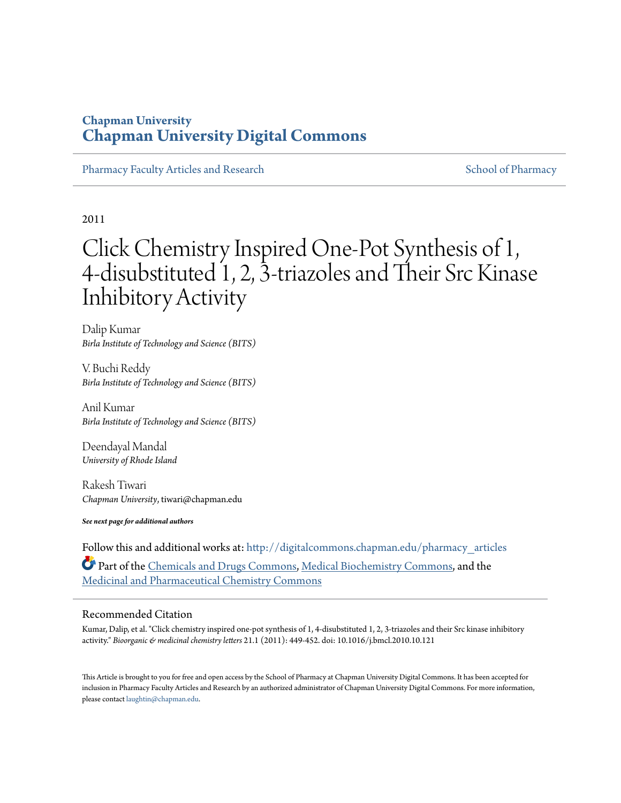## **Chapman University [Chapman University Digital Commons](http://digitalcommons.chapman.edu?utm_source=digitalcommons.chapman.edu%2Fpharmacy_articles%2F156&utm_medium=PDF&utm_campaign=PDFCoverPages)**

[Pharmacy Faculty Articles and Research](http://digitalcommons.chapman.edu/pharmacy_articles?utm_source=digitalcommons.chapman.edu%2Fpharmacy_articles%2F156&utm_medium=PDF&utm_campaign=PDFCoverPages) [School of Pharmacy](http://digitalcommons.chapman.edu/cusp?utm_source=digitalcommons.chapman.edu%2Fpharmacy_articles%2F156&utm_medium=PDF&utm_campaign=PDFCoverPages) Faculty Articles and Research School of Pharmacy

2011

# Click Chemistry Inspired One-Pot Synthesis of 1, 4-disubstituted 1, 2, 3-triazoles and Their Src Kinase Inhibitory Activity

Dalip Kumar *Birla Institute of Technology and Science (BITS)*

V. Buchi Reddy *Birla Institute of Technology and Science (BITS)*

Anil Kumar *Birla Institute of Technology and Science (BITS)*

Deendayal Mandal *University of Rhode Island*

Rakesh Tiwari *Chapman University*, tiwari@chapman.edu

*See next page for additional authors*

Follow this and additional works at: [http://digitalcommons.chapman.edu/pharmacy\\_articles](http://digitalcommons.chapman.edu/pharmacy_articles?utm_source=digitalcommons.chapman.edu%2Fpharmacy_articles%2F156&utm_medium=PDF&utm_campaign=PDFCoverPages) Part of the [Chemicals and Drugs Commons,](http://network.bepress.com/hgg/discipline/902?utm_source=digitalcommons.chapman.edu%2Fpharmacy_articles%2F156&utm_medium=PDF&utm_campaign=PDFCoverPages) [Medical Biochemistry Commons](http://network.bepress.com/hgg/discipline/666?utm_source=digitalcommons.chapman.edu%2Fpharmacy_articles%2F156&utm_medium=PDF&utm_campaign=PDFCoverPages), and the [Medicinal and Pharmaceutical Chemistry Commons](http://network.bepress.com/hgg/discipline/734?utm_source=digitalcommons.chapman.edu%2Fpharmacy_articles%2F156&utm_medium=PDF&utm_campaign=PDFCoverPages)

## Recommended Citation

Kumar, Dalip, et al. "Click chemistry inspired one-pot synthesis of 1, 4-disubstituted 1, 2, 3-triazoles and their Src kinase inhibitory activity." *Bioorganic & medicinal chemistry letters* 21.1 (2011): 449-452. doi: 10.1016/j.bmcl.2010.10.121

This Article is brought to you for free and open access by the School of Pharmacy at Chapman University Digital Commons. It has been accepted for inclusion in Pharmacy Faculty Articles and Research by an authorized administrator of Chapman University Digital Commons. For more information, please contact [laughtin@chapman.edu.](mailto:laughtin@chapman.edu)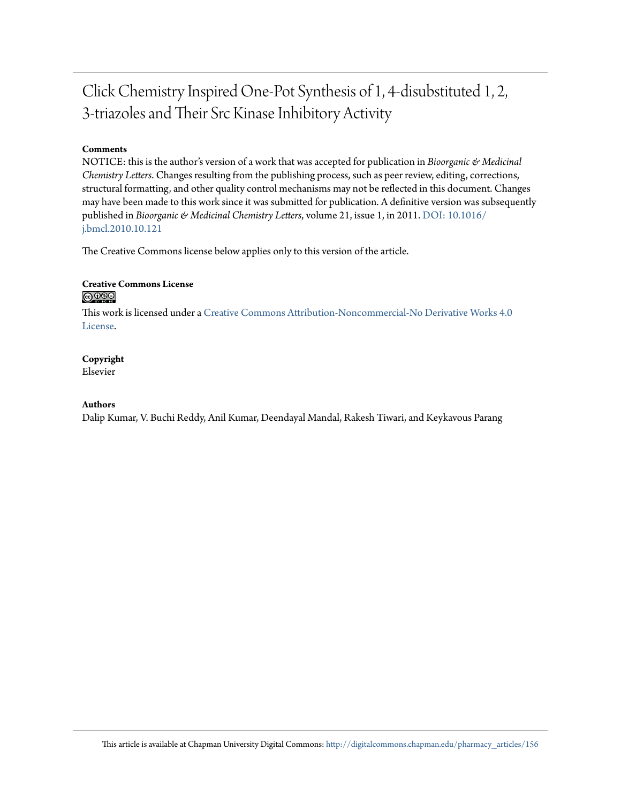## Click Chemistry Inspired One-Pot Synthesis of 1, 4-disubstituted 1, 2, 3-triazoles and Their Src Kinase Inhibitory Activity

## **Comments**

NOTICE: this is the author's version of a work that was accepted for publication in *Bioorganic & Medicinal Chemistry Letters*. Changes resulting from the publishing process, such as peer review, editing, corrections, structural formatting, and other quality control mechanisms may not be reflected in this document. Changes may have been made to this work since it was submitted for publication. A definitive version was subsequently published in *Bioorganic & Medicinal Chemistry Letters*, volume 21, issue 1, in 2011. [DOI: 10.1016/](http://dx.doi.org/10.1016/j.bmcl.2010.10.121) [j.bmcl.2010.10.121](http://dx.doi.org/10.1016/j.bmcl.2010.10.121)

The Creative Commons license below applies only to this version of the article.

## **Creative Commons License** <u>@O®©</u>

This work is licensed under a [Creative Commons Attribution-Noncommercial-No Derivative Works 4.0](http://creativecommons.org/licenses/by-nc-nd/4.0/) [License.](http://creativecommons.org/licenses/by-nc-nd/4.0/)

## **Copyright**

Elsevier

## **Authors**

Dalip Kumar, V. Buchi Reddy, Anil Kumar, Deendayal Mandal, Rakesh Tiwari, and Keykavous Parang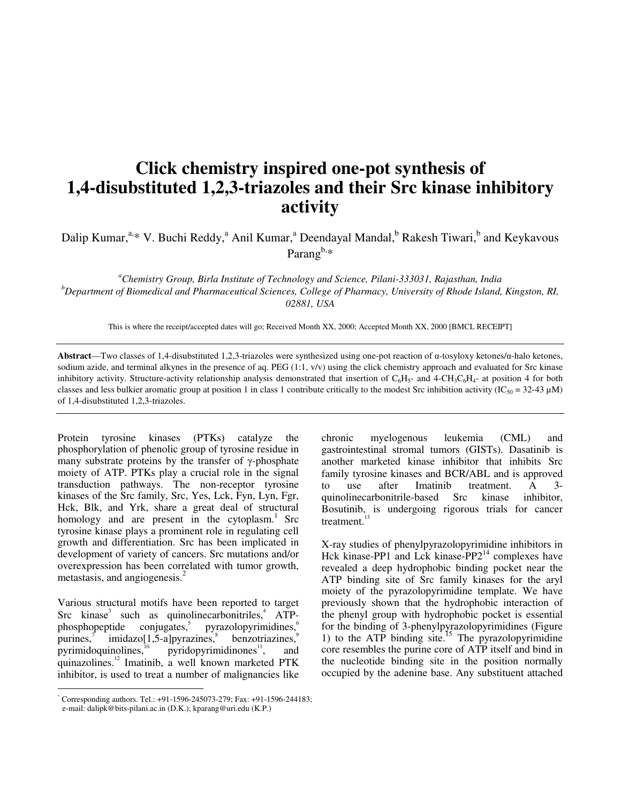## **Click chemistry inspired one-pot synthesis of 1,4-disubstituted 1,2,3-triazoles and their Src kinase inhibitory activity**

Dalip Kumar,<sup>a,</sup>\* V. Buchi Reddy,<sup>a</sup> Anil Kumar,<sup>a</sup> Deendayal Mandal,<sup>b</sup> Rakesh Tiwari,<sup>b</sup> and Keykavous Parang $b,*$ 

*<sup>a</sup>Chemistry Group, Birla Institute of Technology and Science, Pilani-333031, Rajasthan, India <sup>b</sup>Department of Biomedical and Pharmaceutical Sciences, College of Pharmacy, University of Rhode Island, Kingston, RI, 02881, USA* 

This is where the receipt/accepted dates will go; Received Month XX, 2000; Accepted Month XX, 2000 [BMCL RECEIPT]

**Abstract**—Two classes of 1,4-disubstituted 1,2,3-triazoles were synthesized using one-pot reaction of α-tosyloxy ketones/α-halo ketones, sodium azide, and terminal alkynes in the presence of aq. PEG  $(1:1, v/v)$  using the click chemistry approach and evaluated for Src kinase inhibitory activity. Structure-activity relationship analysis demonstrated that insertion of  $C_6H_5$ - and 4-CH<sub>3</sub>C<sub>6</sub>H<sub>4</sub>- at position 4 for both classes and less bulkier aromatic group at position 1 in class 1 contribute critically to the modest Src inhibition activity (IC<sub>50</sub> = 32-43 µM) of 1,4-disubstituted 1,2,3-triazoles.

Protein tyrosine kinases (PTKs) catalyze the phosphorylation of phenolic group of tyrosine residue in many substrate proteins by the transfer of  $\gamma$ -phosphate moiety of ATP. PTKs play a crucial role in the signal transduction pathways. The non-receptor tyrosine kinases of the Src family, Src, Yes, Lck, Fyn, Lyn, Fgr, Hck, Blk, and Yrk, share a great deal of structural homology and are present in the cytoplasm.<sup>1</sup> Src tyrosine kinase plays a prominent role in regulating cell growth and differentiation. Src has been implicated in development of variety of cancers. Src mutations and/or overexpression has been correlated with tumor growth, metastasis, and angiogenesis.<sup>2</sup>

Various structural motifs have been reported to target  $\text{Src }$  kinase<sup>3</sup> such as quinolinecarbonitriles,  $\text{ATP}$  $phosphopeptide$  conjugates, $5$ pyrazolopyrimidines,<sup>6</sup> purines, $\frac{7}{7}$  $imidazo[1,5-a]pyrazines$ , benzotriazines,<sup>9</sup> pyrimidoquinolines, $^{10}$  pyridopyrimidinones $^{11}$ , and quinazolines.<sup>12</sup> Imatinib, a well known marketed PTK inhibitor, is used to treat a number of malignancies like

chronic myelogenous leukemia (CML) and gastrointestinal stromal tumors (GISTs). Dasatinib is another marketed kinase inhibitor that inhibits Src family tyrosine kinases and BCR/ABL and is approved to use after Imatinib treatment. A 3 quinolinecarbonitrile-based Src kinase inhibitor, Bosutinib, is undergoing rigorous trials for cancer treatment. $1$ 

X-ray studies of phenylpyrazolopyrimidine inhibitors in Hck kinase-PP1 and Lck kinase-PP2 $^{14}$  complexes have revealed a deep hydrophobic binding pocket near the ATP binding site of Src family kinases for the aryl moiety of the pyrazolopyrimidine template. We have previously shown that the hydrophobic interaction of the phenyl group with hydrophobic pocket is essential for the binding of 3-phenylpyrazolopyrimidines (Figure 1) to the ATP binding site.<sup>15</sup> The pyrazolopyrimidine core resembles the purine core of ATP itself and bind in the nucleotide binding site in the position normally occupied by the adenine base. Any substituent attached

 \* Corresponding authors. Tel.: +91-1596-245073-279; Fax: +91-1596-244183; e-mail: dalipk@bits-pilani.ac.in (D.K.); kparang@uri.edu (K.P.)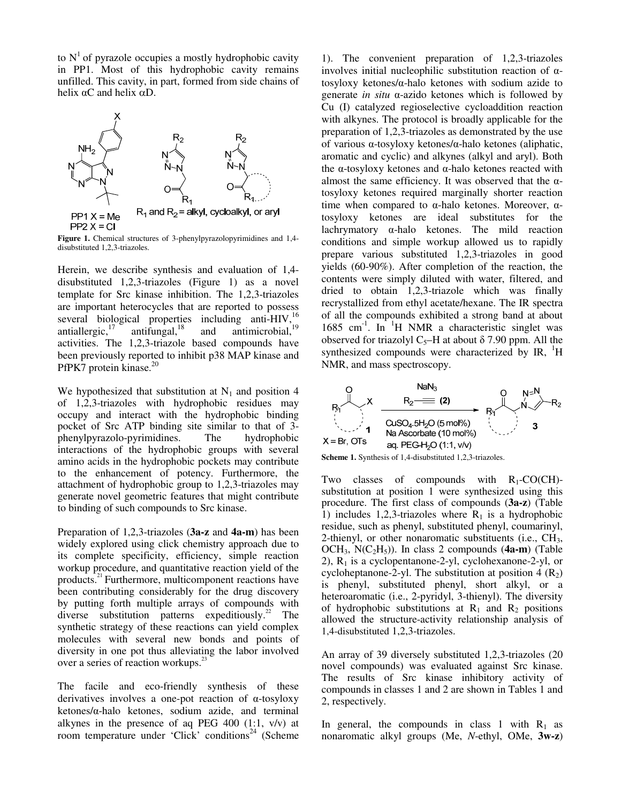to  $N<sup>1</sup>$  of pyrazole occupies a mostly hydrophobic cavity in PP1. Most of this hydrophobic cavity remains unfilled. This cavity, in part, formed from side chains of helix  $\alpha$ C and helix  $\alpha$ D.



**Figure 1.** Chemical structures of 3-phenylpyrazolopyrimidines and 1,4 disubstituted 1,2,3-triazoles.

Herein, we describe synthesis and evaluation of 1,4 disubstituted 1,2,3-triazoles (Figure 1) as a novel template for Src kinase inhibition. The 1,2,3-triazoles are important heterocycles that are reported to possess several biological properties including anti-HIV,<sup>16</sup> antiallergic,<sup>17</sup> antifungal,<sup>18</sup> and antimicrobial,<sup>19</sup> antimicrobial, $19$ activities. The 1,2,3-triazole based compounds have been previously reported to inhibit p38 MAP kinase and PfPK7 protein kinase.<sup>20</sup>

We hypothesized that substitution at  $N_1$  and position 4 of 1,2,3-triazoles with hydrophobic residues may occupy and interact with the hydrophobic binding pocket of Src ATP binding site similar to that of 3 phenylpyrazolo-pyrimidines. The hydrophobic interactions of the hydrophobic groups with several amino acids in the hydrophobic pockets may contribute to the enhancement of potency. Furthermore, the attachment of hydrophobic group to 1,2,3-triazoles may generate novel geometric features that might contribute to binding of such compounds to Src kinase.

Preparation of 1,2,3-triazoles (**3a-z** and **4a-m**) has been widely explored using click chemistry approach due to its complete specificity, efficiency, simple reaction workup procedure, and quantitative reaction yield of the products. $21$  Furthermore, multicomponent reactions have been contributing considerably for the drug discovery by putting forth multiple arrays of compounds with diverse substitution patterns expeditiously.<sup>22</sup> The synthetic strategy of these reactions can yield complex molecules with several new bonds and points of diversity in one pot thus alleviating the labor involved over a series of reaction workups.<sup>23</sup>

The facile and eco-friendly synthesis of these derivatives involves a one-pot reaction of α-tosyloxy ketones/α-halo ketones, sodium azide, and terminal alkynes in the presence of aq PEG 400  $(1:1, v/v)$  at room temperature under 'Click' conditions<sup>24</sup> (Scheme

1). The convenient preparation of 1,2,3-triazoles involves initial nucleophilic substitution reaction of αtosyloxy ketones/α-halo ketones with sodium azide to generate *in situ* α-azido ketones which is followed by Cu (I) catalyzed regioselective cycloaddition reaction with alkynes. The protocol is broadly applicable for the preparation of 1,2,3-triazoles as demonstrated by the use of various α-tosyloxy ketones/α-halo ketones (aliphatic, aromatic and cyclic) and alkynes (alkyl and aryl). Both the α-tosyloxy ketones and α-halo ketones reacted with almost the same efficiency. It was observed that the  $\alpha$ tosyloxy ketones required marginally shorter reaction time when compared to α-halo ketones. Moreover,  $α$ tosyloxy ketones are ideal substitutes for the lachrymatory α-halo ketones. The mild reaction conditions and simple workup allowed us to rapidly prepare various substituted 1,2,3-triazoles in good yields (60-90%). After completion of the reaction, the contents were simply diluted with water, filtered, and dried to obtain 1,2,3-triazole which was finally recrystallized from ethyl acetate/hexane. The IR spectra of all the compounds exhibited a strong band at about 1685 cm<sup>-1</sup>. In <sup>1</sup>H NMR a characteristic singlet was observed for triazolyl C<sub>5</sub>–H at about  $\delta$  7.90 ppm. All the synthesized compounds were characterized by  $IR$ ,  $H$ NMR, and mass spectroscopy.



**Scheme 1.** Synthesis of 1,4-disubstituted 1,2,3-triazoles.

Two classes of compounds with  $R_1$ -CO(CH)substitution at position 1 were synthesized using this procedure. The first class of compounds (**3a-z**) (Table 1) includes 1,2,3-triazoles where  $R_1$  is a hydrophobic residue, such as phenyl, substituted phenyl, coumarinyl, 2-thienyl, or other nonaromatic substituents (i.e.,  $CH<sub>3</sub>$ , OCH3, N(C2H5)). In class 2 compounds (**4a-m**) (Table 2),  $R_1$  is a cyclopentanone-2-yl, cyclohexanone-2-yl, or cycloheptanone-2-yl. The substitution at position  $4(R_2)$ is phenyl, substituted phenyl, short alkyl, or a heteroaromatic (i.e., 2-pyridyl, 3-thienyl). The diversity of hydrophobic substitutions at  $R_1$  and  $R_2$  positions allowed the structure-activity relationship analysis of 1,4-disubstituted 1,2,3-triazoles.

An array of 39 diversely substituted 1,2,3-triazoles (20 novel compounds) was evaluated against Src kinase. The results of Src kinase inhibitory activity of compounds in classes 1 and 2 are shown in Tables 1 and 2, respectively.

In general, the compounds in class 1 with  $R_1$  as nonaromatic alkyl groups (Me, *N*-ethyl, OMe, **3w-z**)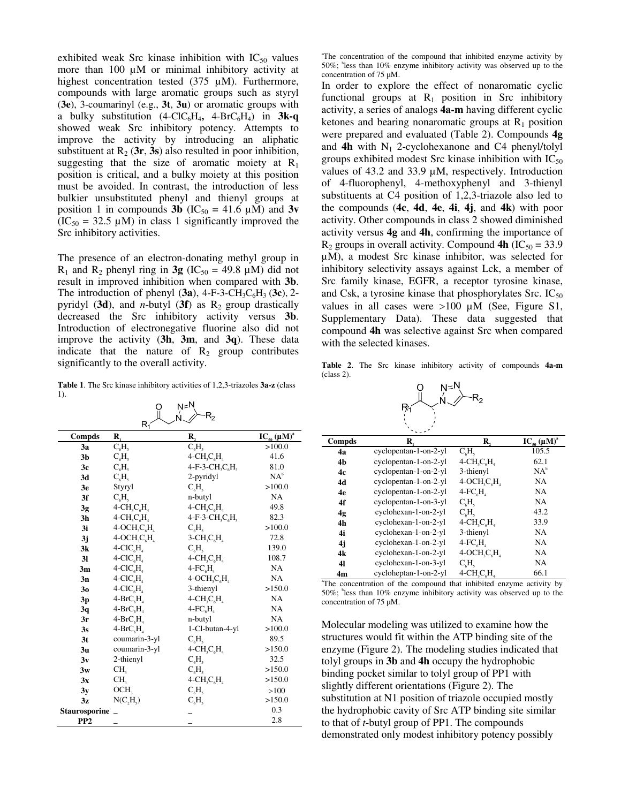exhibited weak Src kinase inhibition with  $IC_{50}$  values more than  $100 \mu M$  or minimal inhibitory activity at highest concentration tested (375 µM). Furthermore, compounds with large aromatic groups such as styryl (**3e**), 3-coumarinyl (e.g., **3t**, **3u**) or aromatic groups with a bulky substitution  $(4\text{-}ClC_6H_4, 4\text{-}BrC_6H_4)$  in  $3k-q$ showed weak Src inhibitory potency. Attempts to improve the activity by introducing an aliphatic substituent at  $R_2$  (3r, 3s) also resulted in poor inhibition, suggesting that the size of aromatic moiety at  $R_1$ position is critical, and a bulky moiety at this position must be avoided. In contrast, the introduction of less bulkier unsubstituted phenyl and thienyl groups at position 1 in compounds **3b** ( $IC_{50} = 41.6 \mu M$ ) and **3v**  $(IC_{50} = 32.5 \mu M)$  in class 1 significantly improved the Src inhibitory activities.

The presence of an electron-donating methyl group in  $R_1$  and  $R_2$  phenyl ring in **3g** (IC<sub>50</sub> = 49.8 µM) did not result in improved inhibition when compared with **3b**. The introduction of phenyl  $(3a)$ , 4-F-3-CH<sub>3</sub>C<sub>6</sub>H<sub>3</sub> (3c), 2pyridyl (3d), and *n*-butyl (3f) as  $R_2$  group drastically decreased the Src inhibitory activity versus **3b**. Introduction of electronegative fluorine also did not improve the activity (**3h**, **3m**, and **3q**). These data indicate that the nature of  $R_2$  group contributes significantly to the overall activity.

**Table 1**. The Src kinase inhibitory activities of 1,2,3-triazoles **3a-z** (class 1).

 $N=N$ 

 $\circ$ 

| Ń.<br>$\mathsf{R}_2$<br>Rí |                                                     |                                                     |                       |  |  |
|----------------------------|-----------------------------------------------------|-----------------------------------------------------|-----------------------|--|--|
| Compds                     | R,                                                  | R.                                                  | $IC_{50} (\mu M)^{a}$ |  |  |
| 3a                         | $\overline{C_{6}H_{5}}$                             | $\overline{C_{6}H_{5}}$                             | >100.0                |  |  |
| 3 <sub>b</sub>             | $C_{\kappa}H_{\kappa}$                              | $4$ -CH <sub>2</sub> C <sub>6</sub> H <sub>4</sub>  | 41.6                  |  |  |
| 3c                         | $C_6H_5$                                            | $4-F-3-CH_3C_6H_3$                                  | 81.0                  |  |  |
| 3d                         | $C_{\epsilon}H_{\epsilon}$                          | 2-pyridyl                                           | $NA^b$                |  |  |
| 3e                         | Styryl                                              | $C_{6}H_{5}$                                        | >100.0                |  |  |
| 3f                         | $C_{6}H_{5}$                                        | n-butyl                                             | <b>NA</b>             |  |  |
| 3g                         | $4$ -CH <sub>2</sub> C <sub>6</sub> H <sub>4</sub>  | $4$ -CH <sub>3</sub> C <sub>6</sub> H <sub>4</sub>  | 49.8                  |  |  |
| 3h                         | $4$ -CH <sub>3</sub> C <sub>6</sub> H <sub>4</sub>  | $4-F-3-CH_3C_6H_3$                                  | 82.3                  |  |  |
| 3i                         | $4-OCHsCHa$                                         | $C_{\kappa}H_{\kappa}$                              | >100.0                |  |  |
| 3j                         | $4$ -OCH <sub>3</sub> C <sub>6</sub> H <sub>4</sub> | $3$ -CH <sub>3</sub> C <sub>6</sub> H <sub>4</sub>  | 72.8                  |  |  |
| 3k                         | $4-CIC6H4$                                          | $C_{\epsilon}H_{\epsilon}$                          | 139.0                 |  |  |
| 3 <sub>l</sub>             | $4-CIC6H4$                                          | $4$ -CH <sub>2</sub> C <sub>6</sub> H <sub>4</sub>  | 108.7                 |  |  |
| 3m                         | $4-CIC6H4$                                          | $4$ -FC <sub>6</sub> H <sub>4</sub>                 | NA                    |  |  |
| 3n                         | $4$ -ClC <sub>6</sub> H <sub>4</sub>                | $4$ -OCH <sub>3</sub> C <sub>6</sub> H <sub>4</sub> | NA                    |  |  |
| 3 <sub>0</sub>             | $4-CICsHs$                                          | 3-thienyl                                           | >150.0                |  |  |
| 3p                         | $4-BrC6H4$                                          | $4$ -CH <sub>3</sub> C <sub>6</sub> H <sub>4</sub>  | NA                    |  |  |
| 3q                         | $4-BrCsHs$                                          | $4$ - $FCsHs$                                       | <b>NA</b>             |  |  |
| 3r                         | $4-BrC6H4$                                          | n-butyl                                             | <b>NA</b>             |  |  |
| 3s                         | $4-BrCcHc$                                          | 1-Cl-butan-4-yl                                     | >100.0                |  |  |
| 3 <sub>t</sub>             | coumarin-3-yl                                       | $C_6H_5$                                            | 89.5                  |  |  |
| 3 <sub>u</sub>             | coumarin-3-yl                                       | $4-CH, C, H$                                        | >150.0                |  |  |
| 3v                         | 2-thienyl                                           | $C_{\epsilon}H_{\epsilon}$                          | 32.5                  |  |  |
| 3w                         | CH <sub>2</sub>                                     | $C_{\kappa}H_{\kappa}$                              | >150.0                |  |  |
| 3x                         | CH <sub>3</sub>                                     | $4$ -CH <sub>3</sub> C <sub>6</sub> H <sub>4</sub>  | >150.0                |  |  |
| 3y                         | OCH <sub>3</sub>                                    | $C_{6}H_{5}$                                        | >100                  |  |  |
| 3z                         | $N(C_2H_5)$                                         | $C_{\kappa}H_{\kappa}$                              | >150.0                |  |  |
| Staurosporine              |                                                     |                                                     | 0.3                   |  |  |
| PP <sub>2</sub>            |                                                     |                                                     | 2.8                   |  |  |

a The concentration of the compound that inhibited enzyme activity by 50%; <sup>b</sup> less than 10% enzyme inhibitory activity was observed up to the concentration of 75 µM.

In order to explore the effect of nonaromatic cyclic functional groups at  $R_1$  position in Src inhibitory activity, a series of analogs **4a-m** having different cyclic ketones and bearing nonaromatic groups at  $R_1$  position were prepared and evaluated (Table 2). Compounds **4g** and  $4h$  with N<sub>1</sub> 2-cyclohexanone and C4 phenyl/tolyl groups exhibited modest Src kinase inhibition with  $IC_{50}$ values of 43.2 and 33.9 µM, respectively. Introduction of 4-fluorophenyl, 4-methoxyphenyl and 3-thienyl substituents at C4 position of 1,2,3-triazole also led to the compounds (**4c**, **4d**, **4e**, **4i**, **4j**, and **4k**) with poor activity. Other compounds in class 2 showed diminished activity versus **4g** and **4h**, confirming the importance of  $R_2$  groups in overall activity. Compound **4h** (IC<sub>50</sub> = 33.9) µM), a modest Src kinase inhibitor, was selected for inhibitory selectivity assays against Lck, a member of Src family kinase, EGFR, a receptor tyrosine kinase, and Csk, a tyrosine kinase that phosphorylates Src.  $IC_{50}$ values in all cases were  $>100 \mu M$  (See, Figure S1, Supplementary Data). These data suggested that compound **4h** was selective against Src when compared with the selected kinases.

**Table 2**. The Src kinase inhibitory activity of compounds **4a-m** (class 2).

|       | N≍N | $R_{2}$ |
|-------|-----|---------|
| $R_1$ |     |         |
|       |     |         |

|                | ممتدح                 |                                                     |                      |
|----------------|-----------------------|-----------------------------------------------------|----------------------|
| Compds         | R.                    | R,                                                  | $IC_{50}(\mu M)^{a}$ |
| 4a             | cyclopentan-1-on-2-yl | $C_{\epsilon}H_{\epsilon}$                          | 105.5                |
| 4 <sub>b</sub> | cyclopentan-1-on-2-yl | $4-CH2CH4$                                          | 62.1                 |
| 4c             | cyclopentan-1-on-2-yl | 3-thienyl                                           | $NA^b$               |
| 4d             | cyclopentan-1-on-2-yl | $4-OCHsCHs$                                         | NA                   |
| 4e             | cyclopentan-1-on-2-yl | $4$ - $FCsHs$                                       | NA                   |
| 4f             | cyclopentan-1-on-3-yl | C <sub>c</sub> H <sub>c</sub>                       | NA                   |
| 4g             | cyclohexan-1-on-2-yl  | $C_{\epsilon}H_{\epsilon}$                          | 43.2                 |
| 4h             | cyclohexan-1-on-2-yl  | $4$ -CH <sub>3</sub> C <sub>6</sub> H <sub>4</sub>  | 33.9                 |
| 4i             | cyclohexan-1-on-2-yl  | 3-thienyl                                           | NA                   |
| 4j             | cyclohexan-1-on-2-yl  | $4$ -FC $_{6}$ H                                    | NA                   |
| 4k             | cyclohexan-1-on-2-yl  | $4$ -OCH <sub>3</sub> C <sub>6</sub> H <sub>4</sub> | NA                   |
| 41             | cyclohexan-1-on-3-yl  | C <sub>e</sub> H <sub>e</sub>                       | NA                   |
| 4m             | cycloheptan-1-on-2-yl | $4$ -CH <sub>3</sub> C <sub>6</sub> H <sub>4</sub>  | 66.1                 |

a The concentration of the compound that inhibited enzyme activity by 50%; <sup>b</sup> less than 10% enzyme inhibitory activity was observed up to the concentration of 75 µM.

Molecular modeling was utilized to examine how the structures would fit within the ATP binding site of the enzyme (Figure 2). The modeling studies indicated that tolyl groups in **3b** and **4h** occupy the hydrophobic binding pocket similar to tolyl group of PP1 with slightly different orientations (Figure 2). The substitution at N1 position of triazole occupied mostly the hydrophobic cavity of Src ATP binding site similar to that of *t*-butyl group of PP1. The compounds demonstrated only modest inhibitory potency possibly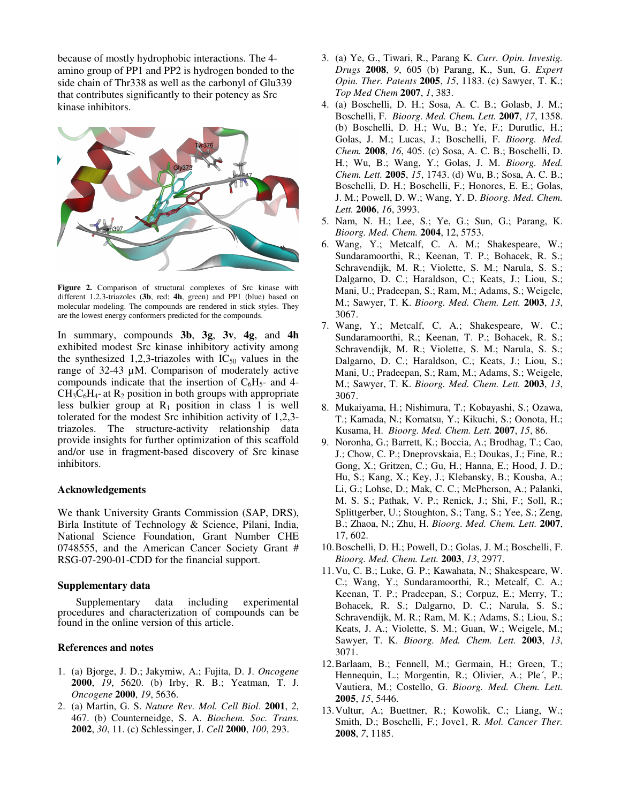because of mostly hydrophobic interactions. The 4 amino group of PP1 and PP2 is hydrogen bonded to the side chain of Thr338 as well as the carbonyl of Glu339 that contributes significantly to their potency as Src kinase inhibitors.



**Figure 2.** Comparison of structural complexes of Src kinase with different 1,2,3-triazoles (**3b**, red; **4h**, green) and PP1 (blue) based on molecular modeling. The compounds are rendered in stick styles. They are the lowest energy conformers predicted for the compounds.

In summary, compounds **3b**, **3g**, **3v**, **4g**, and **4h** exhibited modest Src kinase inhibitory activity among the synthesized 1,2,3-triazoles with  $IC_{50}$  values in the range of 32-43 µM. Comparison of moderately active compounds indicate that the insertion of  $C_6H_5$ - and 4- $CH_3C_6H_4$ - at  $R_2$  position in both groups with appropriate less bulkier group at  $R_1$  position in class 1 is well tolerated for the modest Src inhibition activity of 1,2,3 triazoles. The structure-activity relationship data provide insights for further optimization of this scaffold and/or use in fragment-based discovery of Src kinase inhibitors.

### **Acknowledgements**

We thank University Grants Commission (SAP, DRS), Birla Institute of Technology & Science, Pilani, India, National Science Foundation, Grant Number CHE 0748555, and the American Cancer Society Grant # RSG-07-290-01-CDD for the financial support.

#### **Supplementary data**

Supplementary data including experimental procedures and characterization of compounds can be found in the online version of this article.

#### **References and notes**

- 1. (a) Bjorge, J. D.; Jakymiw, A.; Fujita, D. J. *Oncogene* **2000**, *19*, 5620. (b) Irby, R. B.; Yeatman, T. J. *Oncogene* **2000**, *19*, 5636.
- 2. (a) Martin, G. S. *Nature Rev. Mol. Cell Biol*. **2001**, *2*, 467. (b) Counterneidge, S. A. *Biochem. Soc. Trans.* **2002**, *30*, 11. (c) Schlessinger, J. *Cell* **2000**, *100*, 293.
- 3. (a) Ye, G., Tiwari, R., Parang K*. Curr. Opin. Investig. Drugs* **2008**, *9*, 605 (b) Parang, K., Sun, G. *Expert Opin. Ther. Patents* **2005**, *15*, 1183. (c) Sawyer, T. K.; *Top Med Chem* **2007**, *1*, 383.
- 4. (a) Boschelli, D. H.; Sosa, A. C. B.; Golasb, J. M.; Boschelli, F. *Bioorg. Med. Chem. Lett.* **2007**, *17*, 1358. (b) Boschelli, D. H.; Wu, B.; Ye, F.; Durutlic, H.; Golas, J. M.; Lucas, J.; Boschelli, F. *Bioorg. Med. Chem.* **2008**, *16*, 405. (c) Sosa, A. C. B.; Boschelli, D. H.; Wu, B.; Wang, Y.; Golas, J. M. *Bioorg. Med. Chem. Lett.* **2005**, *15*, 1743. (d) Wu, B.; Sosa, A. C. B.; Boschelli, D. H.; Boschelli, F.; Honores, E. E.; Golas, J. M.; Powell, D. W.; Wang, Y. D. *Bioorg. Med. Chem. Lett.* **2006**, *16*, 3993.
- 5. Nam, N. H.; Lee, S.; Ye, G.; Sun, G.; Parang, K. *Bioorg. Med. Chem.* **2004**, 12, 5753.
- 6. Wang, Y.; Metcalf, C. A. M.; Shakespeare, W.; Sundaramoorthi, R.; Keenan, T. P.; Bohacek, R. S.; Schravendijk, M. R.; Violette, S. M.; Narula, S. S.; Dalgarno, D. C.; Haraldson, C.; Keats, J.; Liou, S.; Mani, U.; Pradeepan, S.; Ram, M.; Adams, S.; Weigele, M.; Sawyer, T. K. *Bioorg. Med. Chem. Lett.* **2003**, *13*, 3067.
- 7. Wang, Y.; Metcalf, C. A.; Shakespeare, W. C.; Sundaramoorthi, R.; Keenan, T. P.; Bohacek, R. S.; Schravendijk, M. R.; Violette, S. M.; Narula, S. S.; Dalgarno, D. C.; Haraldson, C.; Keats, J.; Liou, S.; Mani, U.; Pradeepan, S.; Ram, M.; Adams, S.; Weigele, M.; Sawyer, T. K. *Bioorg. Med. Chem. Lett.* **2003**, *13*, 3067.
- 8. Mukaiyama, H.; Nishimura, T.; Kobayashi, S.; Ozawa, T.; Kamada, N.; Komatsu, Y.; Kikuchi, S.; Oonota, H.; Kusama, H. *Bioorg. Med. Chem. Lett.* **2007**, *15*, 86.
- 9. Noronha, G.; Barrett, K.; Boccia, A.; Brodhag, T.; Cao, J.; Chow, C. P.; Dneprovskaia, E.; Doukas, J.; Fine, R.; Gong, X.; Gritzen, C.; Gu, H.; Hanna, E.; Hood, J. D.; Hu, S.; Kang, X.; Key, J.; Klebansky, B.; Kousba, A.; Li, G.; Lohse, D.; Mak, C. C.; McPherson, A.; Palanki, M. S. S.; Pathak, V. P.; Renick, J.; Shi, F.; Soll, R.; Splittgerber, U.; Stoughton, S.; Tang, S.; Yee, S.; Zeng, B.; Zhaoa, N.; Zhu, H. *Bioorg. Med. Chem. Lett.* **2007**, 17, 602.
- 10.Boschelli, D. H.; Powell, D.; Golas, J. M.; Boschelli, F. *Bioorg. Med. Chem. Lett.* **2003**, *13*, 2977.
- 11.Vu, C. B.; Luke, G. P.; Kawahata, N.; Shakespeare, W. C.; Wang, Y.; Sundaramoorthi, R.; Metcalf, C. A.; Keenan, T. P.; Pradeepan, S.; Corpuz, E.; Merry, T.; Bohacek, R. S.; Dalgarno, D. C.; Narula, S. S.; Schravendijk, M. R.; Ram, M. K.; Adams, S.; Liou, S.; Keats, J. A.; Violette, S. M.; Guan, W.; Weigele, M.; Sawyer, T. K. *Bioorg. Med. Chem. Lett.* **2003**, *13*, 3071.
- 12.Barlaam, B.; Fennell, M.; Germain, H.; Green, T.; Hennequin, L.; Morgentin, R.; Olivier, A.; Ple´, P.; Vautiera, M.; Costello, G. *Bioorg. Med. Chem. Lett.* **2005**, *15*, 5446.
- 13.Vultur, A.; Buettner, R.; Kowolik, C.; Liang, W.; Smith, D.; Boschelli, F.; Jove1, R. *Mol. Cancer Ther.*  **2008**, *7*, 1185.